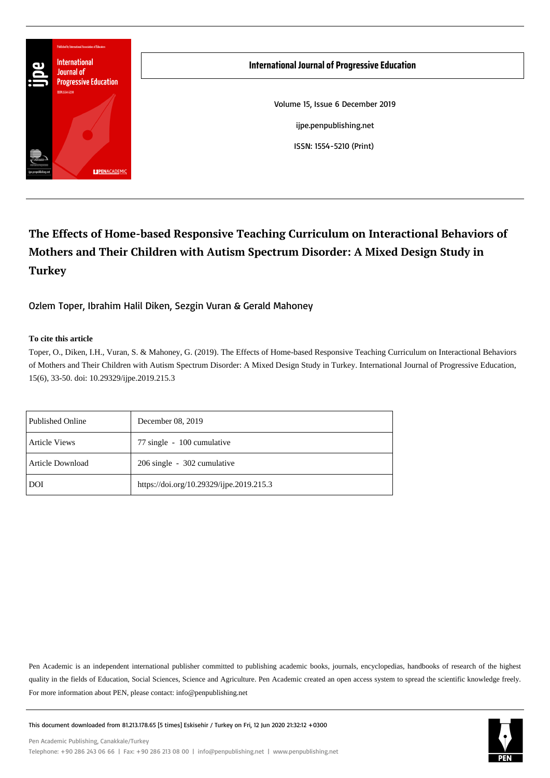

# **The Effects of Home-based Responsive Teaching Curriculum on Interactional Behaviors of Mothers and Their Children with Autism Spectrum Disorder: A Mixed Design Study in Turkey**

Ozlem Toper, Ibrahim Halil Diken, Sezgin Vuran & Gerald Mahoney

#### **To cite this article**

Toper, O., Diken, I.H., Vuran, S. & Mahoney, G. (2019). The Effects of Home-based Responsive Teaching Curriculum on Interactional Behaviors of Mothers and Their Children with Autism Spectrum Disorder: A Mixed Design Study in Turkey. International Journal of Progressive Education, 15(6), 33-50. doi: 10.29329/ijpe.2019.215.3

| <b>Published Online</b> | December 08, 2019                        |
|-------------------------|------------------------------------------|
| <b>Article Views</b>    | 77 single - 100 cumulative               |
| Article Download        | 206 single - 302 cumulative              |
| DOI                     | https://doi.org/10.29329/ijpe.2019.215.3 |

Pen Academic is an independent international publisher committed to publishing academic books, journals, encyclopedias, handbooks of research of the highest quality in the fields of Education, Social Sciences, Science and Agriculture. Pen Academic created an open access system to spread the scientific knowledge freely. For more information about PEN, please contact: info@penpublishing.net



This document downloaded from 81.213.178.65 [5 times] Eskisehir / Turkey on Fri, 12 Jun 2020 21:32:12 +0300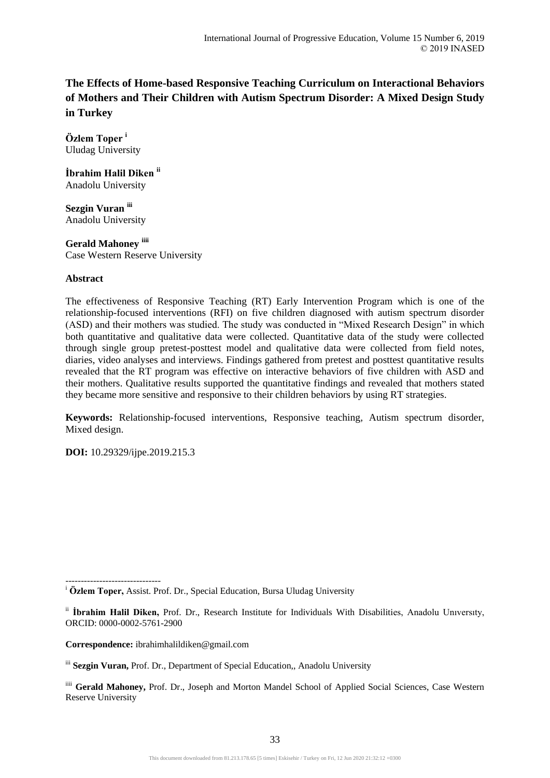## **The Effects of Home-based Responsive Teaching Curriculum on Interactional Behaviors of Mothers and Their Children with Autism Spectrum Disorder: A Mixed Design Study in Turkey**

**Özlem Toper <sup>i</sup>** Uludag University

**İbrahim Halil Diken ii** Anadolu University

**Sezgin Vuran iii** Anadolu University

**Gerald Mahoney iiii** Case Western Reserve University

## **Abstract**

The effectiveness of Responsive Teaching (RT) Early Intervention Program which is one of the relationship-focused interventions (RFI) on five children diagnosed with autism spectrum disorder (ASD) and their mothers was studied. The study was conducted in "Mixed Research Design" in which both quantitative and qualitative data were collected. Quantitative data of the study were collected through single group pretest-posttest model and qualitative data were collected from field notes, diaries, video analyses and interviews. Findings gathered from pretest and posttest quantitative results revealed that the RT program was effective on interactive behaviors of five children with ASD and their mothers. Qualitative results supported the quantitative findings and revealed that mothers stated they became more sensitive and responsive to their children behaviors by using RT strategies.

**Keywords:** Relationship-focused interventions, Responsive teaching, Autism spectrum disorder, Mixed design.

**DOI:** 10.29329/ijpe.2019.215.3

 $-$ 

**Correspondence:** ibrahimhalildiken@gmail.com

<sup>i</sup> **Özlem Toper,** Assist. Prof. Dr., Special Education, Bursa Uludag University

ii **İbrahim Halil Diken,** Prof. Dr., Research Institute for Individuals With Disabilities, Anadolu Unıversıty, ORCID: 0000-0002-5761-2900

iii **Sezgin Vuran,** Prof. Dr., Department of Special Education,, Anadolu University

iiii Gerald Mahoney, Prof. Dr., Joseph and Morton Mandel School of Applied Social Sciences, Case Western Reserve University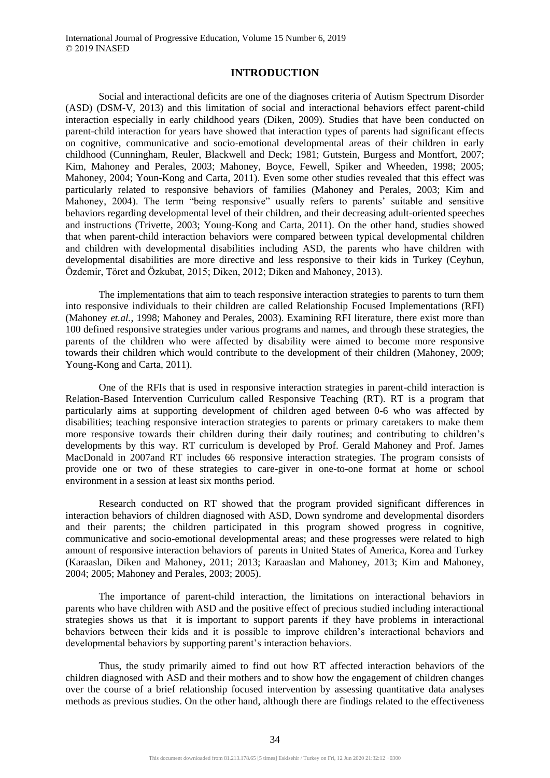## **INTRODUCTION**

Social and interactional deficits are one of the diagnoses criteria of Autism Spectrum Disorder (ASD) (DSM-V, 2013) and this limitation of social and interactional behaviors effect parent-child interaction especially in early childhood years (Diken, 2009). Studies that have been conducted on parent-child interaction for years have showed that interaction types of parents had significant effects on cognitive, communicative and socio-emotional developmental areas of their children in early childhood (Cunningham, Reuler, Blackwell and Deck; 1981; Gutstein, Burgess and Montfort, 2007; Kim, Mahoney and Perales, 2003; Mahoney, Boyce, Fewell, Spiker and Wheeden, 1998; 2005; Mahoney, 2004; Youn-Kong and Carta, 2011). Even some other studies revealed that this effect was particularly related to responsive behaviors of families (Mahoney and Perales, 2003; Kim and Mahoney, 2004). The term "being responsive" usually refers to parents' suitable and sensitive behaviors regarding developmental level of their children, and their decreasing adult-oriented speeches and instructions (Trivette, 2003; Young-Kong and Carta, 2011). On the other hand, studies showed that when parent-child interaction behaviors were compared between typical developmental children and children with developmental disabilities including ASD, the parents who have children with developmental disabilities are more directive and less responsive to their kids in Turkey (Ceyhun, Özdemir, Töret and Özkubat, 2015; Diken, 2012; Diken and Mahoney, 2013).

The implementations that aim to teach responsive interaction strategies to parents to turn them into responsive individuals to their children are called Relationship Focused Implementations (RFI) (Mahoney *et.al.*, 1998; Mahoney and Perales, 2003). Examining RFI literature, there exist more than 100 defined responsive strategies under various programs and names, and through these strategies, the parents of the children who were affected by disability were aimed to become more responsive towards their children which would contribute to the development of their children (Mahoney, 2009; Young-Kong and Carta, 2011).

One of the RFIs that is used in responsive interaction strategies in parent-child interaction is Relation-Based Intervention Curriculum called Responsive Teaching (RT). RT is a program that particularly aims at supporting development of children aged between 0-6 who was affected by disabilities; teaching responsive interaction strategies to parents or primary caretakers to make them more responsive towards their children during their daily routines; and contributing to children's developments by this way. RT curriculum is developed by Prof. Gerald Mahoney and Prof. James MacDonald in 2007and RT includes 66 responsive interaction strategies. The program consists of provide one or two of these strategies to care-giver in one-to-one format at home or school environment in a session at least six months period.

Research conducted on RT showed that the program provided significant differences in interaction behaviors of children diagnosed with ASD, Down syndrome and developmental disorders and their parents; the children participated in this program showed progress in cognitive, communicative and socio-emotional developmental areas; and these progresses were related to high amount of responsive interaction behaviors of parents in United States of America, Korea and Turkey (Karaaslan, Diken and Mahoney, 2011; 2013; Karaaslan and Mahoney, 2013; Kim and Mahoney, 2004; 2005; Mahoney and Perales, 2003; 2005).

The importance of parent-child interaction, the limitations on interactional behaviors in parents who have children with ASD and the positive effect of precious studied including interactional strategies shows us that it is important to support parents if they have problems in interactional behaviors between their kids and it is possible to improve children's interactional behaviors and developmental behaviors by supporting parent's interaction behaviors.

Thus, the study primarily aimed to find out how RT affected interaction behaviors of the children diagnosed with ASD and their mothers and to show how the engagement of children changes over the course of a brief relationship focused intervention by assessing quantitative data analyses methods as previous studies. On the other hand, although there are findings related to the effectiveness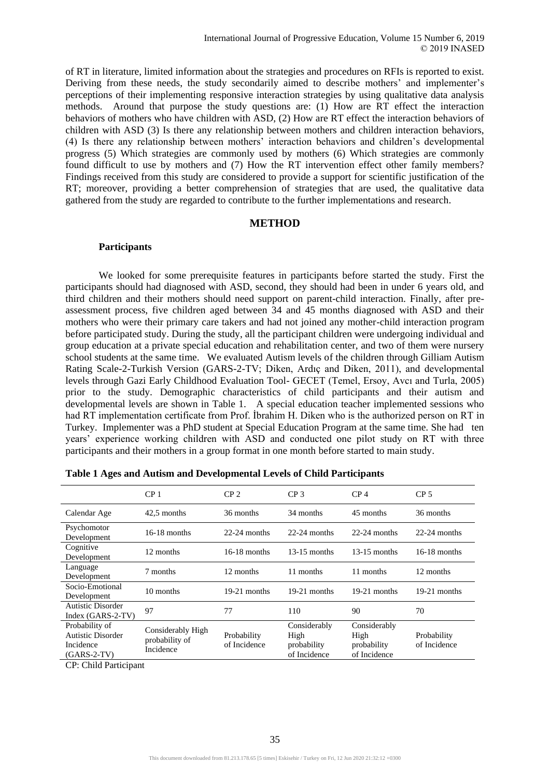of RT in literature, limited information about the strategies and procedures on RFIs is reported to exist. Deriving from these needs, the study secondarily aimed to describe mothers' and implementer's perceptions of their implementing responsive interaction strategies by using qualitative data analysis methods. Around that purpose the study questions are: (1) How are RT effect the interaction behaviors of mothers who have children with ASD, (2) How are RT effect the interaction behaviors of children with ASD (3) Is there any relationship between mothers and children interaction behaviors, (4) Is there any relationship between mothers' interaction behaviors and children's developmental progress (5) Which strategies are commonly used by mothers (6) Which strategies are commonly found difficult to use by mothers and (7) How the RT intervention effect other family members? Findings received from this study are considered to provide a support for scientific justification of the RT; moreover, providing a better comprehension of strategies that are used, the qualitative data gathered from the study are regarded to contribute to the further implementations and research.

#### **METHOD**

#### **Participants**

We looked for some prerequisite features in participants before started the study. First the participants should had diagnosed with ASD, second, they should had been in under 6 years old, and third children and their mothers should need support on parent-child interaction. Finally, after preassessment process, five children aged between 34 and 45 months diagnosed with ASD and their mothers who were their primary care takers and had not joined any mother-child interaction program before participated study. During the study, all the participant children were undergoing individual and group education at a private special education and rehabilitation center, and two of them were nursery school students at the same time. We evaluated Autism levels of the children through Gilliam Autism Rating Scale-2-Turkish Version (GARS-2-TV; Diken, Ardıç and Diken, 2011), and developmental levels through Gazi Early Childhood Evaluation Tool- GECET (Temel, Ersoy, Avcı and Turla, 2005) prior to the study. Demographic characteristics of child participants and their autism and developmental levels are shown in Table 1. A special education teacher implemented sessions who had RT implementation certificate from Prof. İbrahim H. Diken who is the authorized person on RT in Turkey. Implementer was a PhD student at Special Education Program at the same time. She had ten years' experience working children with ASD and conducted one pilot study on RT with three participants and their mothers in a group format in one month before started to main study.

|                                                                          | CP <sub>1</sub>                                  | CP <sub>2</sub>             | CP <sub>3</sub>                                     | CP <sub>4</sub>                                     | CP <sub>5</sub>             |
|--------------------------------------------------------------------------|--------------------------------------------------|-----------------------------|-----------------------------------------------------|-----------------------------------------------------|-----------------------------|
| Calendar Age                                                             | 42.5 months                                      | 36 months                   | 34 months                                           | 45 months                                           | 36 months                   |
| Psychomotor<br>Development                                               | $16-18$ months                                   | $22-24$ months              | $22-24$ months                                      | $22-24$ months                                      | $22-24$ months              |
| Cognitive<br>Development                                                 | 12 months                                        | $16-18$ months              | $13-15$ months                                      | $13-15$ months                                      | $16-18$ months              |
| Language<br>Development                                                  | 7 months                                         | 12 months                   | 11 months                                           | 11 months                                           | 12 months                   |
| Socio-Emotional<br>Development                                           | 10 months                                        | $19-21$ months              | $19-21$ months                                      | $19-21$ months                                      | $19-21$ months              |
| <b>Autistic Disorder</b><br>Index (GARS-2-TV)                            | 97                                               | 77                          | 110                                                 | 90                                                  | 70                          |
| Probability of<br><b>Autistic Disorder</b><br>Incidence<br>$(GARS-2-TV)$ | Considerably High<br>probability of<br>Incidence | Probability<br>of Incidence | Considerably<br>High<br>probability<br>of Incidence | Considerably<br>High<br>probability<br>of Incidence | Probability<br>of Incidence |

| Table 1 Ages and Autism and Developmental Levels of Child Participants |
|------------------------------------------------------------------------|
|------------------------------------------------------------------------|

CP: Child Participant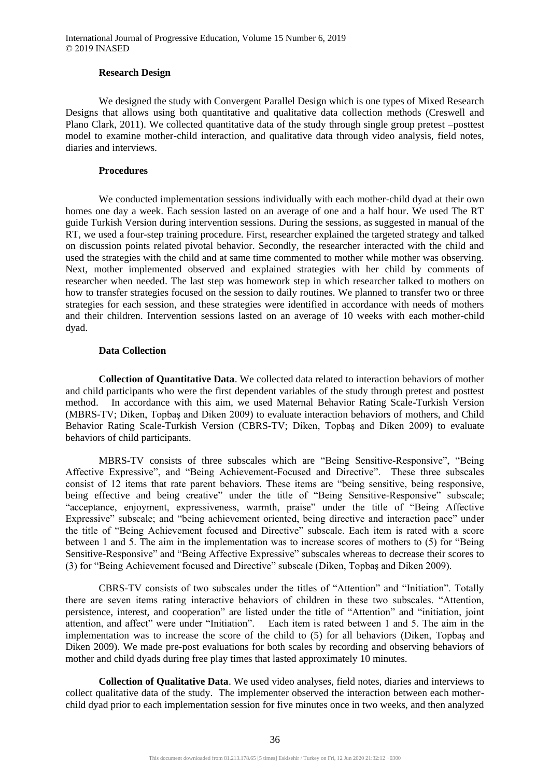#### **Research Design**

We designed the study with Convergent Parallel Design which is one types of Mixed Research Designs that allows using both quantitative and qualitative data collection methods (Creswell and Plano Clark, 2011). We collected quantitative data of the study through single group pretest –posttest model to examine mother-child interaction, and qualitative data through video analysis, field notes, diaries and interviews.

#### **Procedures**

We conducted implementation sessions individually with each mother-child dyad at their own homes one day a week. Each session lasted on an average of one and a half hour. We used The RT guide Turkish Version during intervention sessions. During the sessions, as suggested in manual of the RT, we used a four-step training procedure. First, researcher explained the targeted strategy and talked on discussion points related pivotal behavior. Secondly, the researcher interacted with the child and used the strategies with the child and at same time commented to mother while mother was observing. Next, mother implemented observed and explained strategies with her child by comments of researcher when needed. The last step was homework step in which researcher talked to mothers on how to transfer strategies focused on the session to daily routines. We planned to transfer two or three strategies for each session, and these strategies were identified in accordance with needs of mothers and their children. Intervention sessions lasted on an average of 10 weeks with each mother-child dyad.

#### **Data Collection**

**Collection of Quantitative Data**. We collected data related to interaction behaviors of mother and child participants who were the first dependent variables of the study through pretest and posttest method. In accordance with this aim, we used Maternal Behavior Rating Scale-Turkish Version (MBRS-TV; Diken, Topbaş and Diken 2009) to evaluate interaction behaviors of mothers, and Child Behavior Rating Scale-Turkish Version (CBRS-TV; Diken, Topbaş and Diken 2009) to evaluate behaviors of child participants.

MBRS-TV consists of three subscales which are "Being Sensitive-Responsive", "Being Affective Expressive", and "Being Achievement-Focused and Directive". These three subscales consist of 12 items that rate parent behaviors. These items are "being sensitive, being responsive, being effective and being creative" under the title of "Being Sensitive-Responsive" subscale; "acceptance, enjoyment, expressiveness, warmth, praise" under the title of "Being Affective Expressive" subscale; and "being achievement oriented, being directive and interaction pace" under the title of "Being Achievement focused and Directive" subscale. Each item is rated with a score between 1 and 5. The aim in the implementation was to increase scores of mothers to (5) for "Being Sensitive-Responsive" and "Being Affective Expressive" subscales whereas to decrease their scores to (3) for "Being Achievement focused and Directive" subscale (Diken, Topbaş and Diken 2009).

CBRS-TV consists of two subscales under the titles of "Attention" and "Initiation". Totally there are seven items rating interactive behaviors of children in these two subscales. "Attention, persistence, interest, and cooperation" are listed under the title of "Attention" and "initiation, joint attention, and affect" were under "Initiation". Each item is rated between 1 and 5. The aim in the implementation was to increase the score of the child to (5) for all behaviors (Diken, Topbaş and Diken 2009). We made pre-post evaluations for both scales by recording and observing behaviors of mother and child dyads during free play times that lasted approximately 10 minutes.

**Collection of Qualitative Data**. We used video analyses, field notes, diaries and interviews to collect qualitative data of the study. The implementer observed the interaction between each motherchild dyad prior to each implementation session for five minutes once in two weeks, and then analyzed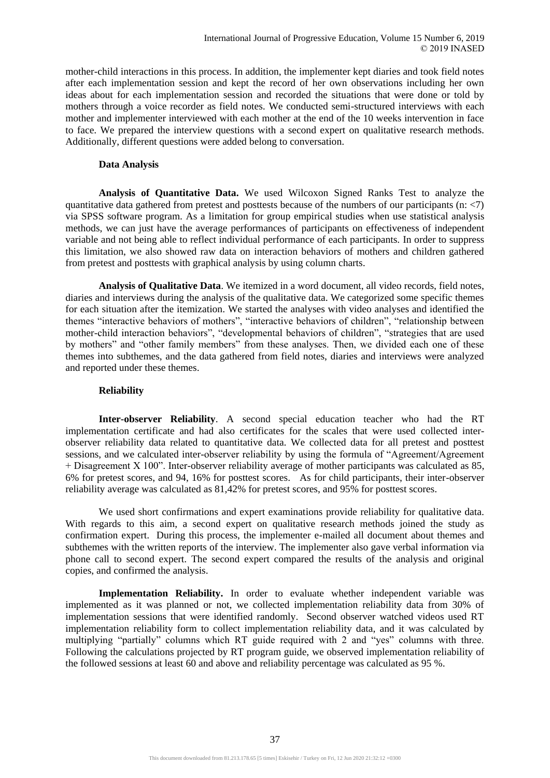mother-child interactions in this process. In addition, the implementer kept diaries and took field notes after each implementation session and kept the record of her own observations including her own ideas about for each implementation session and recorded the situations that were done or told by mothers through a voice recorder as field notes. We conducted semi-structured interviews with each mother and implementer interviewed with each mother at the end of the 10 weeks intervention in face to face. We prepared the interview questions with a second expert on qualitative research methods. Additionally, different questions were added belong to conversation.

#### **Data Analysis**

**Analysis of Quantitative Data.** We used Wilcoxon Signed Ranks Test to analyze the quantitative data gathered from pretest and posttests because of the numbers of our participants (n:  $\langle 7 \rangle$ ) via SPSS software program. As a limitation for group empirical studies when use statistical analysis methods, we can just have the average performances of participants on effectiveness of independent variable and not being able to reflect individual performance of each participants. In order to suppress this limitation, we also showed raw data on interaction behaviors of mothers and children gathered from pretest and posttests with graphical analysis by using column charts.

**Analysis of Qualitative Data**. We itemized in a word document, all video records, field notes, diaries and interviews during the analysis of the qualitative data. We categorized some specific themes for each situation after the itemization. We started the analyses with video analyses and identified the themes "interactive behaviors of mothers", "interactive behaviors of children", "relationship between mother-child interaction behaviors", "developmental behaviors of children", "strategies that are used by mothers" and "other family members" from these analyses. Then, we divided each one of these themes into subthemes, and the data gathered from field notes, diaries and interviews were analyzed and reported under these themes.

#### **Reliability**

**Inter-observer Reliability**. A second special education teacher who had the RT implementation certificate and had also certificates for the scales that were used collected interobserver reliability data related to quantitative data. We collected data for all pretest and posttest sessions, and we calculated inter-observer reliability by using the formula of "Agreement/Agreement + Disagreement 100". Inter-observer reliability average of mother participants was calculated as 85, 6% for pretest scores, and 94, 16% for posttest scores. As for child participants, their inter-observer reliability average was calculated as 81,42% for pretest scores, and 95% for posttest scores.

We used short confirmations and expert examinations provide reliability for qualitative data. With regards to this aim, a second expert on qualitative research methods joined the study as confirmation expert. During this process, the implementer e-mailed all document about themes and subthemes with the written reports of the interview. The implementer also gave verbal information via phone call to second expert. The second expert compared the results of the analysis and original copies, and confirmed the analysis.

**Implementation Reliability.** In order to evaluate whether independent variable was implemented as it was planned or not, we collected implementation reliability data from 30% of implementation sessions that were identified randomly. Second observer watched videos used RT implementation reliability form to collect implementation reliability data, and it was calculated by multiplying "partially" columns which RT guide required with 2 and "yes" columns with three. Following the calculations projected by RT program guide, we observed implementation reliability of the followed sessions at least 60 and above and reliability percentage was calculated as 95 %.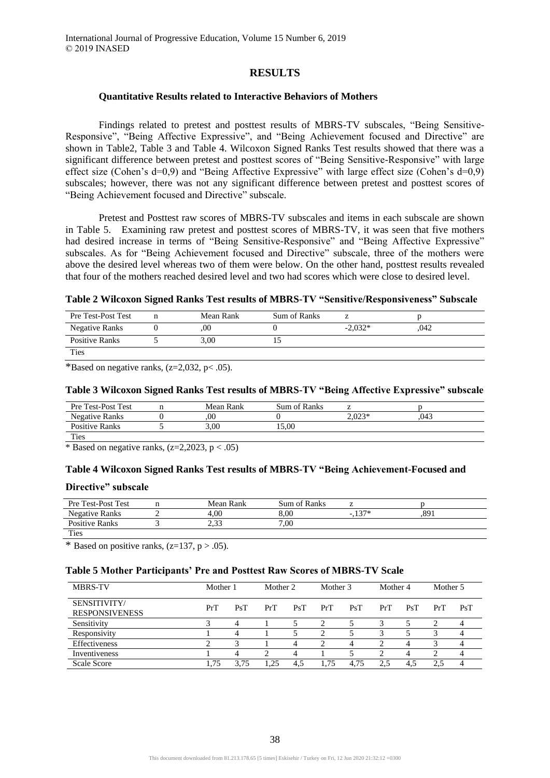## **RESULTS**

#### **Quantitative Results related to Interactive Behaviors of Mothers**

Findings related to pretest and posttest results of MBRS-TV subscales, "Being Sensitive-Responsive", "Being Affective Expressive", and "Being Achievement focused and Directive" are shown in Table2, Table 3 and Table 4. Wilcoxon Signed Ranks Test results showed that there was a significant difference between pretest and posttest scores of "Being Sensitive-Responsive" with large effect size (Cohen's d=0,9) and "Being Affective Expressive" with large effect size (Cohen's d=0,9) subscales; however, there was not any significant difference between pretest and posttest scores of "Being Achievement focused and Directive" subscale.

Pretest and Posttest raw scores of MBRS-TV subscales and items in each subscale are shown in Table 5. Examining raw pretest and posttest scores of MBRS-TV, it was seen that five mothers had desired increase in terms of "Being Sensitive-Responsive" and "Being Affective Expressive" subscales. As for "Being Achievement focused and Directive" subscale, three of the mothers were above the desired level whereas two of them were below. On the other hand, posttest results revealed that four of the mothers reached desired level and two had scores which were close to desired level.

#### **Table 2 Wilcoxon Signed Ranks Test results of MBRS-TV "Sensitive/Responsiveness" Subscale**

| Pre Test-Post Test | Mean Rank | Sum of Ranks |           |      |  |
|--------------------|-----------|--------------|-----------|------|--|
| Negative Ranks     | .00       |              | $-2,032*$ | .042 |  |
| Positive Ranks     | 3,00      |              |           |      |  |
| <b>Ties</b>        |           |              |           |      |  |

\*Based on negative ranks,  $(z=2,032, p<.05)$ .

#### **Table 3 Wilcoxon Signed Ranks Test results of MBRS-TV "Being Affective Expressive" subscale**

| Pre Test-Post Test    | Mean Rank | Sum of Ranks |          |      |
|-----------------------|-----------|--------------|----------|------|
| Negative Ranks        | 00        |              | $2.023*$ | .043 |
| <b>Positive Ranks</b> | 3.00      | 15.00        |          |      |
| <b>Ties</b>           |           |              |          |      |

\* Based on negative ranks,  $(z=2,2023, p < .05)$ 

#### **Table 4 Wilcoxon Signed Ranks Test results of MBRS-TV "Being Achievement-Focused and**

#### **Directive" subscale**

| Pre Test-Post Test    | Mean Rank       | Sum of Ranks |      |      |  |
|-----------------------|-----------------|--------------|------|------|--|
| <b>Negative Ranks</b> | 4.00            | 8.00         | 1つワ* | .891 |  |
| <b>Positive Ranks</b> | n 22<br>ل ل د ک | 7.00         |      |      |  |
| <b>править</b>        |                 |              |      |      |  |

Ties

\* Based on positive ranks,  $(z=137, p > .05)$ .

#### **Table 5 Mother Participants' Pre and Posttest Raw Scores of MBRS-TV Scale**

| <b>MBRS-TV</b>                        | Mother 1 |      | Mother 2 |     | Mother 3 |      | Mother 4 |     | Mother 5 |     |
|---------------------------------------|----------|------|----------|-----|----------|------|----------|-----|----------|-----|
| SENSITIVITY/<br><b>RESPONSIVENESS</b> | PrT      | PsT  | PrT      | PsT | PrT      | PsT  | PrT      | PsT | PrT      | PsT |
| Sensitivity                           |          | 4    |          |     | ◠        |      |          |     |          |     |
| Responsivity                          |          | 4    |          |     |          |      |          |     |          |     |
| Effectiveness                         |          |      |          |     | ◠        |      | ◠        |     |          |     |
| Inventiveness                         |          | 4    |          |     |          |      | ◠        |     | ∍        |     |
| <b>Scale Score</b>                    | 1,75     | 3.75 | 1.25     | 4.5 | 1.75     | 4.75 | 2.5      | 4.5 | 2.5      |     |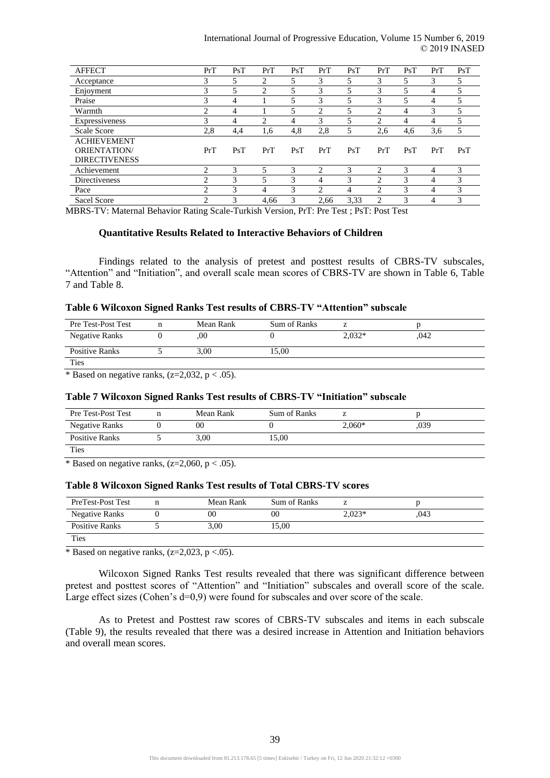| <b>AFFECT</b>        | PrT            | PsT | PrT            | PsT           | PrT            | PsT  | PrT                         | PsT | PrT            | PsT |
|----------------------|----------------|-----|----------------|---------------|----------------|------|-----------------------------|-----|----------------|-----|
| Acceptance           | 3              | 5   | 2              | 5             | 3              | 5    | 3                           | 5   | 3              | 5   |
| Enjoyment            | 3              | 5   | $\mathfrak{D}$ | 5             | 3              | 5    | 3                           |     | 4              |     |
| Praise               | 3              | 4   |                | 5             | 3              | 5    | 3                           | 5   | 4              |     |
| Warmth               | ↑              | 4   |                |               | $\overline{c}$ | 5    | っ                           | 4   | 3              |     |
| Expressiveness       | 3              | 4   | $\overline{c}$ | 4             | 3              | 5    | 2                           | 4   | 4              |     |
| <b>Scale Score</b>   | 2,8            | 4,4 | 1,6            | 4,8           | 2,8            | 5    | 2,6                         | 4,6 | 3.6            |     |
| <b>ACHIEVEMENT</b>   |                |     |                |               |                |      |                             |     |                |     |
| <b>ORIENTATION</b>   | PrT            | PsT | PrT            | PsT           | PrT            | PsT  | PrT                         | PsT | PrT            | PsT |
| <b>DIRECTIVENESS</b> |                |     |                |               |                |      |                             |     |                |     |
| Achievement          | 2              | 3   | 5              | 3             | 2              | 3    | $\mathcal{D}_{\mathcal{L}}$ | 3   | $\overline{4}$ | 3   |
| Directiveness        | $\overline{c}$ | 3   | 5              | $\mathcal{F}$ | 4              | 3    | $\overline{c}$              | 3   | 4              | 3   |
| Pace                 | $\overline{c}$ | 3   | 4              | 3             | $\overline{c}$ | 4    | $\overline{c}$              | 3   | 4              | 3   |
| Sacel Score          | 2              | 3   | 4,66           | 3             | 2,66           | 3,33 | $\overline{c}$              | 3   | 4              | 3   |

MBRS-TV: Maternal Behavior Rating Scale-Turkish Version, PrT: Pre Test ; PsT: Post Test

#### **Quantitative Results Related to Interactive Behaviors of Children**

Findings related to the analysis of pretest and posttest results of CBRS-TV subscales, "Attention" and "Initiation", and overall scale mean scores of CBRS-TV are shown in Table 6, Table 7 and Table 8.

| Table 6 Wilcoxon Signed Ranks Test results of CBRS-TV "Attention" subscale |  |  |  |  |  |
|----------------------------------------------------------------------------|--|--|--|--|--|
|----------------------------------------------------------------------------|--|--|--|--|--|

| Pre Test-Post Test | Mean Rank | Sum of Ranks |          |      |  |
|--------------------|-----------|--------------|----------|------|--|
| Negative Ranks     | .00       |              | $2.032*$ | .042 |  |
| Positive Ranks     | 3.00      | 15.00        |          |      |  |
| <b>Ties</b>        |           |              |          |      |  |

\* Based on negative ranks,  $(z=2,032, p < .05)$ .

## **Table 7 Wilcoxon Signed Ranks Test results of CBRS-TV "Initiation" subscale**

| Pre Test-Post Test | Mean Rank | Sum of Ranks |          |      |  |
|--------------------|-----------|--------------|----------|------|--|
| Negative Ranks     | 00        |              | $2.060*$ | ,039 |  |
| Positive Ranks     | 3.00      | 15,00        |          |      |  |
| Ties               |           |              |          |      |  |

\* Based on negative ranks,  $(z=2,060, p < .05)$ .

#### **Table 8 Wilcoxon Signed Ranks Test results of Total CBRS-TV scores**

| PreTest-Post Test     | Mean Rank | Sum of Ranks |          |      |  |
|-----------------------|-----------|--------------|----------|------|--|
| <b>Negative Ranks</b> | 00        | 00           | $2.023*$ | .043 |  |
| Positive Ranks        | 3.00      | 15.00        |          |      |  |
| <b>Ties</b>           |           |              |          |      |  |

\* Based on negative ranks,  $(z=2.023, p < .05)$ .

Wilcoxon Signed Ranks Test results revealed that there was significant difference between pretest and posttest scores of "Attention" and "Initiation" subscales and overall score of the scale. Large effect sizes (Cohen's d=0,9) were found for subscales and over score of the scale.

As to Pretest and Posttest raw scores of CBRS-TV subscales and items in each subscale (Table 9), the results revealed that there was a desired increase in Attention and Initiation behaviors and overall mean scores.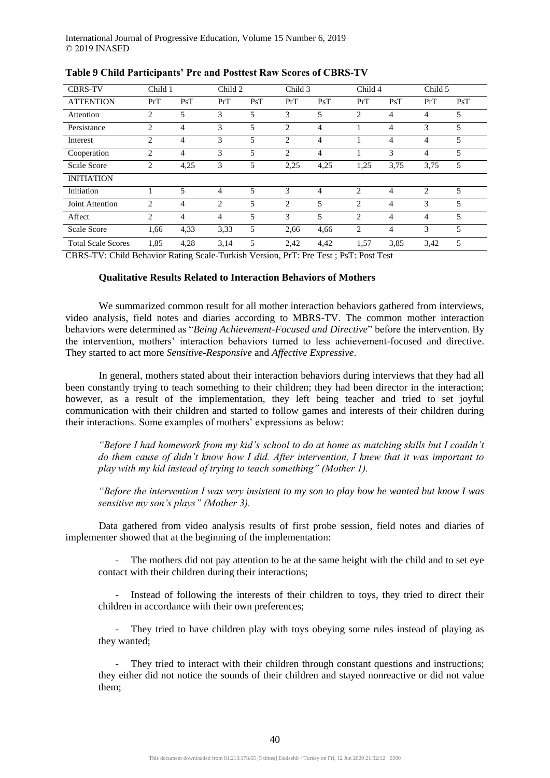| <b>CBRS-TV</b>                        | Child 1        |                                 | Child 2             |                | Child 3          |                | Child 4                                                |                | Child 5        |     |
|---------------------------------------|----------------|---------------------------------|---------------------|----------------|------------------|----------------|--------------------------------------------------------|----------------|----------------|-----|
| <b>ATTENTION</b>                      | PrT            | PsT                             | PrT                 | PsT            | PrT              | PsT            | PrT                                                    | PsT            | PrT            | PsT |
| Attention                             | $\overline{c}$ | 5                               | 3                   | 5              | 3                | 5              | 2                                                      | 4              | 4              | 5   |
| Persistance                           | $\overline{c}$ | 4                               | 3                   | 5              | $\overline{c}$   | 4              |                                                        | $\overline{4}$ | 3              | 5   |
| Interest                              | $\overline{c}$ | 4                               | 3                   | 5              | $\overline{c}$   | 4              |                                                        | 4              | 4              | 5   |
| Cooperation                           | 2              | $\overline{4}$                  | 3                   | 5              | 2                | 4              |                                                        | 3              | $\overline{4}$ | 5   |
| Scale Score                           | $\overline{c}$ | 4,25                            | 3                   | 5              | 2,25             | 4,25           | 1,25                                                   | 3,75           | 3,75           | 5   |
| <b>INITIATION</b>                     |                |                                 |                     |                |                  |                |                                                        |                |                |     |
| Initiation                            |                | 5                               | 4                   | $\overline{5}$ | 3                | 4              | 2                                                      | $\overline{4}$ | $\mathfrak{D}$ | 5   |
| Joint Attention                       | $\overline{c}$ | 4                               | 2                   | $\overline{5}$ | $\overline{c}$   | $\overline{5}$ | 2                                                      | 4              | 3              | 5   |
| Affect                                | $\overline{c}$ | $\overline{4}$                  | 4                   | 5              | 3                | 5              | 2                                                      | $\overline{4}$ | $\overline{4}$ | 5   |
| <b>Scale Score</b>                    | 1,66           | 4,33                            | 3.33                | 5              | 2,66             | 4,66           | 2                                                      | $\overline{4}$ | 3              | 5   |
| <b>Total Scale Scores</b><br>$\alpha$ | 1,85           | 4,28<br>$\sim$ $\sim$<br>$\sim$ | 3,14<br>$\sim$<br>. | 5              | 2,42<br><u>.</u> | 4,42<br>$\sim$ | 1,57<br><b><u><del>nn</del></u></b> <i>n</i><br>$\sim$ | 3,85           | 3,42           | 5   |

## **Table 9 Child Participants' Pre and Posttest Raw Scores of CBRS-TV**

CBRS-TV: Child Behavior Rating Scale-Turkish Version, PrT: Pre Test ; PsT: Post Test

## **Qualitative Results Related to Interaction Behaviors of Mothers**

We summarized common result for all mother interaction behaviors gathered from interviews, video analysis, field notes and diaries according to MBRS-TV. The common mother interaction behaviors were determined as "*Being Achievement-Focused and Directive*" before the intervention. By the intervention, mothers' interaction behaviors turned to less achievement-focused and directive. They started to act more *Sensitive-Responsive* and *Affective Expressive*.

In general, mothers stated about their interaction behaviors during interviews that they had all been constantly trying to teach something to their children; they had been director in the interaction; however, as a result of the implementation, they left being teacher and tried to set joyful communication with their children and started to follow games and interests of their children during their interactions. Some examples of mothers' expressions as below:

*"Before I had homework from my kid's school to do at home as matching skills but I couldn't do them cause of didn't know how I did. After intervention, I knew that it was important to play with my kid instead of trying to teach something" (Mother 1).*

*"Before the intervention I was very insistent to my son to play how he wanted but know I was sensitive my son's plays" (Mother 3).* 

Data gathered from video analysis results of first probe session, field notes and diaries of implementer showed that at the beginning of the implementation:

The mothers did not pay attention to be at the same height with the child and to set eye contact with their children during their interactions;

- Instead of following the interests of their children to toys, they tried to direct their children in accordance with their own preferences;

- They tried to have children play with toys obeying some rules instead of playing as they wanted;

They tried to interact with their children through constant questions and instructions; they either did not notice the sounds of their children and stayed nonreactive or did not value them;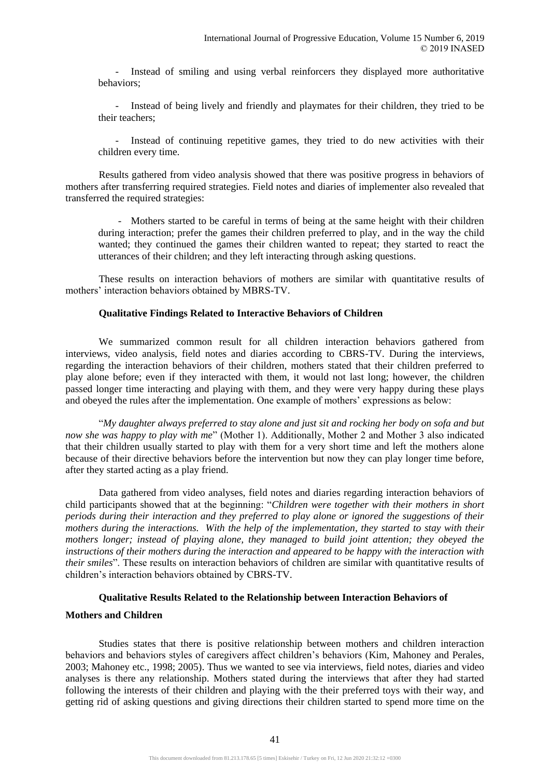- Instead of smiling and using verbal reinforcers they displayed more authoritative behaviors;

- Instead of being lively and friendly and playmates for their children, they tried to be their teachers;

- Instead of continuing repetitive games, they tried to do new activities with their children every time.

Results gathered from video analysis showed that there was positive progress in behaviors of mothers after transferring required strategies. Field notes and diaries of implementer also revealed that transferred the required strategies:

- Mothers started to be careful in terms of being at the same height with their children during interaction; prefer the games their children preferred to play, and in the way the child wanted; they continued the games their children wanted to repeat; they started to react the utterances of their children; and they left interacting through asking questions.

These results on interaction behaviors of mothers are similar with quantitative results of mothers' interaction behaviors obtained by MBRS-TV.

#### **Qualitative Findings Related to Interactive Behaviors of Children**

We summarized common result for all children interaction behaviors gathered from interviews, video analysis, field notes and diaries according to CBRS-TV. During the interviews, regarding the interaction behaviors of their children, mothers stated that their children preferred to play alone before; even if they interacted with them, it would not last long; however, the children passed longer time interacting and playing with them, and they were very happy during these plays and obeyed the rules after the implementation. One example of mothers' expressions as below:

"*My daughter always preferred to stay alone and just sit and rocking her body on sofa and but now she was happy to play with me*" (Mother 1). Additionally, Mother 2 and Mother 3 also indicated that their children usually started to play with them for a very short time and left the mothers alone because of their directive behaviors before the intervention but now they can play longer time before, after they started acting as a play friend.

Data gathered from video analyses, field notes and diaries regarding interaction behaviors of child participants showed that at the beginning: "*Children were together with their mothers in short periods during their interaction and they preferred to play alone or ignored the suggestions of their mothers during the interactions. With the help of the implementation, they started to stay with their mothers longer; instead of playing alone, they managed to build joint attention; they obeyed the instructions of their mothers during the interaction and appeared to be happy with the interaction with their smiles*". These results on interaction behaviors of children are similar with quantitative results of children's interaction behaviors obtained by CBRS-TV.

#### **Qualitative Results Related to the Relationship between Interaction Behaviors of**

## **Mothers and Children**

Studies states that there is positive relationship between mothers and children interaction behaviors and behaviors styles of caregivers affect children's behaviors (Kim, Mahoney and Perales, 2003; Mahoney etc., 1998; 2005). Thus we wanted to see via interviews, field notes, diaries and video analyses is there any relationship. Mothers stated during the interviews that after they had started following the interests of their children and playing with the their preferred toys with their way, and getting rid of asking questions and giving directions their children started to spend more time on the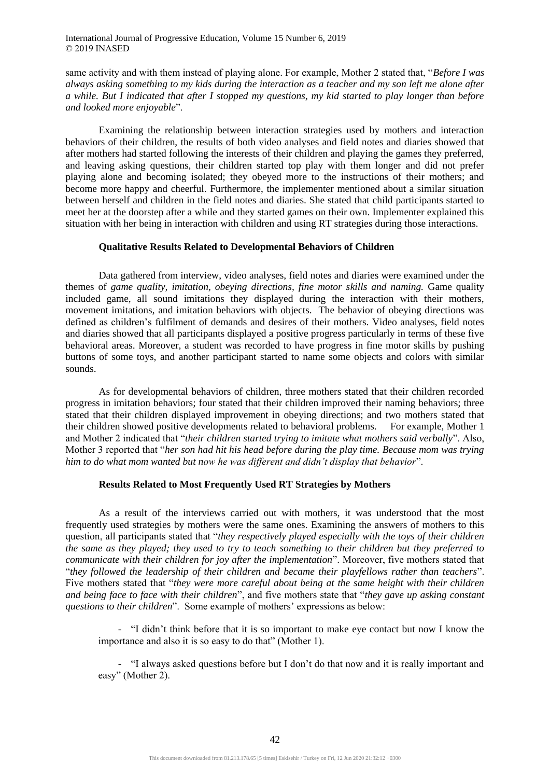same activity and with them instead of playing alone. For example, Mother 2 stated that, "*Before I was always asking something to my kids during the interaction as a teacher and my son left me alone after a while. But I indicated that after I stopped my questions, my kid started to play longer than before and looked more enjoyable*".

Examining the relationship between interaction strategies used by mothers and interaction behaviors of their children, the results of both video analyses and field notes and diaries showed that after mothers had started following the interests of their children and playing the games they preferred, and leaving asking questions, their children started top play with them longer and did not prefer playing alone and becoming isolated; they obeyed more to the instructions of their mothers; and become more happy and cheerful. Furthermore, the implementer mentioned about a similar situation between herself and children in the field notes and diaries. She stated that child participants started to meet her at the doorstep after a while and they started games on their own. Implementer explained this situation with her being in interaction with children and using RT strategies during those interactions.

#### **Qualitative Results Related to Developmental Behaviors of Children**

Data gathered from interview, video analyses, field notes and diaries were examined under the themes of *game quality, imitation, obeying directions, fine motor skills and naming.* Game quality included game, all sound imitations they displayed during the interaction with their mothers, movement imitations, and imitation behaviors with objects. The behavior of obeying directions was defined as children's fulfilment of demands and desires of their mothers. Video analyses, field notes and diaries showed that all participants displayed a positive progress particularly in terms of these five behavioral areas. Moreover, a student was recorded to have progress in fine motor skills by pushing buttons of some toys, and another participant started to name some objects and colors with similar sounds.

As for developmental behaviors of children, three mothers stated that their children recorded progress in imitation behaviors; four stated that their children improved their naming behaviors; three stated that their children displayed improvement in obeying directions; and two mothers stated that their children showed positive developments related to behavioral problems. For example, Mother 1 and Mother 2 indicated that "*their children started trying to imitate what mothers said verbally*". Also, Mother 3 reported that "*her son had hit his head before during the play time. Because mom was trying him to do what mom wanted but now he was different and didn't display that behavior*".

#### **Results Related to Most Frequently Used RT Strategies by Mothers**

As a result of the interviews carried out with mothers, it was understood that the most frequently used strategies by mothers were the same ones. Examining the answers of mothers to this question, all participants stated that "*they respectively played especially with the toys of their children the same as they played; they used to try to teach something to their children but they preferred to communicate with their children for joy after the implementation*". Moreover, five mothers stated that "*they followed the leadership of their children and became their playfellows rather than teachers*". Five mothers stated that "*they were more careful about being at the same height with their children and being face to face with their children*", and five mothers state that "*they gave up asking constant questions to their children*". Some example of mothers' expressions as below:

- "I didn't think before that it is so important to make eye contact but now I know the importance and also it is so easy to do that" (Mother 1).

- "I always asked questions before but I don't do that now and it is really important and easy" (Mother 2).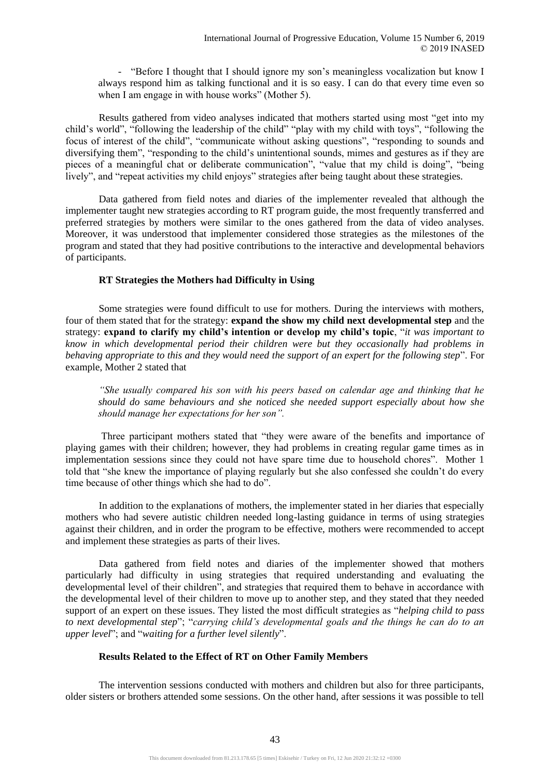- "Before I thought that I should ignore my son's meaningless vocalization but know I always respond him as talking functional and it is so easy. I can do that every time even so when I am engage in with house works" (Mother 5).

Results gathered from video analyses indicated that mothers started using most "get into my child's world", "following the leadership of the child" "play with my child with toys", "following the focus of interest of the child", "communicate without asking questions", "responding to sounds and diversifying them", "responding to the child's unintentional sounds, mimes and gestures as if they are pieces of a meaningful chat or deliberate communication", "value that my child is doing", "being lively", and "repeat activities my child enjoys" strategies after being taught about these strategies.

Data gathered from field notes and diaries of the implementer revealed that although the implementer taught new strategies according to RT program guide, the most frequently transferred and preferred strategies by mothers were similar to the ones gathered from the data of video analyses. Moreover, it was understood that implementer considered those strategies as the milestones of the program and stated that they had positive contributions to the interactive and developmental behaviors of participants.

## **RT Strategies the Mothers had Difficulty in Using**

Some strategies were found difficult to use for mothers. During the interviews with mothers, four of them stated that for the strategy: **expand the show my child next developmental step** and the strategy: **expand to clarify my child's intention or develop my child's topic**, "*it was important to know in which developmental period their children were but they occasionally had problems in behaving appropriate to this and they would need the support of an expert for the following step*". For example, Mother 2 stated that

*"She usually compared his son with his peers based on calendar age and thinking that he should do same behaviours and she noticed she needed support especially about how she should manage her expectations for her son".*

Three participant mothers stated that "they were aware of the benefits and importance of playing games with their children; however, they had problems in creating regular game times as in implementation sessions since they could not have spare time due to household chores". Mother 1 told that "she knew the importance of playing regularly but she also confessed she couldn't do every time because of other things which she had to do".

In addition to the explanations of mothers, the implementer stated in her diaries that especially mothers who had severe autistic children needed long-lasting guidance in terms of using strategies against their children, and in order the program to be effective, mothers were recommended to accept and implement these strategies as parts of their lives.

Data gathered from field notes and diaries of the implementer showed that mothers particularly had difficulty in using strategies that required understanding and evaluating the developmental level of their children", and strategies that required them to behave in accordance with the developmental level of their children to move up to another step, and they stated that they needed support of an expert on these issues. They listed the most difficult strategies as "*helping child to pass to next developmental step*"; "*carrying child's developmental goals and the things he can do to an upper level*"; and "*waiting for a further level silently*".

## **Results Related to the Effect of RT on Other Family Members**

The intervention sessions conducted with mothers and children but also for three participants, older sisters or brothers attended some sessions. On the other hand, after sessions it was possible to tell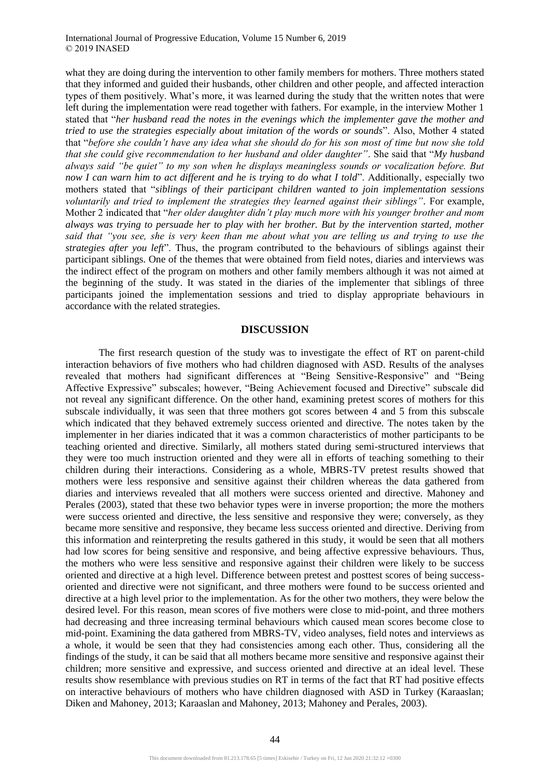what they are doing during the intervention to other family members for mothers. Three mothers stated that they informed and guided their husbands, other children and other people, and affected interaction types of them positively. What's more, it was learned during the study that the written notes that were left during the implementation were read together with fathers. For example, in the interview Mother 1 stated that "*her husband read the notes in the evenings which the implementer gave the mother and tried to use the strategies especially about imitation of the words or sounds*". Also, Mother 4 stated that "*before she couldn't have any idea what she should do for his son most of time but now she told that she could give recommendation to her husband and older daughter"*. She said that "*My husband always said "be quiet" to my son when he displays meaningless sounds or vocalization before. But now I can warn him to act different and he is trying to do what I told*". Additionally, especially two mothers stated that "*siblings of their participant children wanted to join implementation sessions voluntarily and tried to implement the strategies they learned against their siblings"*. For example, Mother 2 indicated that "*her older daughter didn't play much more with his younger brother and mom always was trying to persuade her to play with her brother. But by the intervention started, mother said that "you see, she is very keen than me about what you are telling us and trying to use the strategies after you left*". Thus, the program contributed to the behaviours of siblings against their participant siblings. One of the themes that were obtained from field notes, diaries and interviews was the indirect effect of the program on mothers and other family members although it was not aimed at the beginning of the study. It was stated in the diaries of the implementer that siblings of three participants joined the implementation sessions and tried to display appropriate behaviours in accordance with the related strategies.

#### **DISCUSSION**

The first research question of the study was to investigate the effect of RT on parent-child interaction behaviors of five mothers who had children diagnosed with ASD. Results of the analyses revealed that mothers had significant differences at "Being Sensitive-Responsive" and "Being Affective Expressive" subscales; however, "Being Achievement focused and Directive" subscale did not reveal any significant difference. On the other hand, examining pretest scores of mothers for this subscale individually, it was seen that three mothers got scores between 4 and 5 from this subscale which indicated that they behaved extremely success oriented and directive. The notes taken by the implementer in her diaries indicated that it was a common characteristics of mother participants to be teaching oriented and directive. Similarly, all mothers stated during semi-structured interviews that they were too much instruction oriented and they were all in efforts of teaching something to their children during their interactions. Considering as a whole, MBRS-TV pretest results showed that mothers were less responsive and sensitive against their children whereas the data gathered from diaries and interviews revealed that all mothers were success oriented and directive. Mahoney and Perales (2003), stated that these two behavior types were in inverse proportion; the more the mothers were success oriented and directive, the less sensitive and responsive they were; conversely, as they became more sensitive and responsive, they became less success oriented and directive. Deriving from this information and reinterpreting the results gathered in this study, it would be seen that all mothers had low scores for being sensitive and responsive, and being affective expressive behaviours. Thus, the mothers who were less sensitive and responsive against their children were likely to be success oriented and directive at a high level. Difference between pretest and posttest scores of being successoriented and directive were not significant, and three mothers were found to be success oriented and directive at a high level prior to the implementation. As for the other two mothers, they were below the desired level. For this reason, mean scores of five mothers were close to mid-point, and three mothers had decreasing and three increasing terminal behaviours which caused mean scores become close to mid-point. Examining the data gathered from MBRS-TV, video analyses, field notes and interviews as a whole, it would be seen that they had consistencies among each other. Thus, considering all the findings of the study, it can be said that all mothers became more sensitive and responsive against their children; more sensitive and expressive, and success oriented and directive at an ideal level. These results show resemblance with previous studies on RT in terms of the fact that RT had positive effects on interactive behaviours of mothers who have children diagnosed with ASD in Turkey (Karaaslan; Diken and Mahoney, 2013; Karaaslan and Mahoney, 2013; Mahoney and Perales, 2003).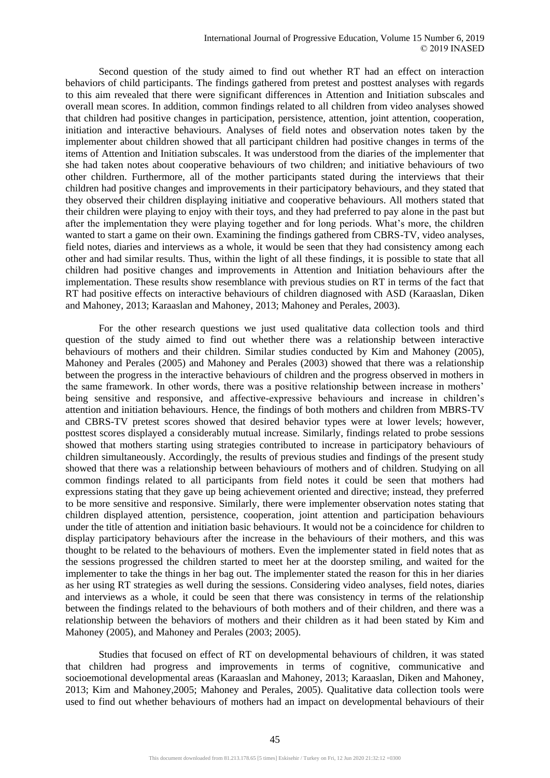Second question of the study aimed to find out whether RT had an effect on interaction behaviors of child participants. The findings gathered from pretest and posttest analyses with regards to this aim revealed that there were significant differences in Attention and Initiation subscales and overall mean scores. In addition, common findings related to all children from video analyses showed that children had positive changes in participation, persistence, attention, joint attention, cooperation, initiation and interactive behaviours. Analyses of field notes and observation notes taken by the implementer about children showed that all participant children had positive changes in terms of the items of Attention and Initiation subscales. It was understood from the diaries of the implementer that she had taken notes about cooperative behaviours of two children; and initiative behaviours of two other children. Furthermore, all of the mother participants stated during the interviews that their children had positive changes and improvements in their participatory behaviours, and they stated that they observed their children displaying initiative and cooperative behaviours. All mothers stated that their children were playing to enjoy with their toys, and they had preferred to pay alone in the past but after the implementation they were playing together and for long periods. What's more, the children wanted to start a game on their own. Examining the findings gathered from CBRS-TV, video analyses, field notes, diaries and interviews as a whole, it would be seen that they had consistency among each other and had similar results. Thus, within the light of all these findings, it is possible to state that all children had positive changes and improvements in Attention and Initiation behaviours after the implementation. These results show resemblance with previous studies on RT in terms of the fact that RT had positive effects on interactive behaviours of children diagnosed with ASD (Karaaslan, Diken and Mahoney, 2013; Karaaslan and Mahoney, 2013; Mahoney and Perales, 2003).

For the other research questions we just used qualitative data collection tools and third question of the study aimed to find out whether there was a relationship between interactive behaviours of mothers and their children. Similar studies conducted by Kim and Mahoney (2005), Mahoney and Perales (2005) and Mahoney and Perales (2003) showed that there was a relationship between the progress in the interactive behaviours of children and the progress observed in mothers in the same framework. In other words, there was a positive relationship between increase in mothers' being sensitive and responsive, and affective-expressive behaviours and increase in children's attention and initiation behaviours. Hence, the findings of both mothers and children from MBRS-TV and CBRS-TV pretest scores showed that desired behavior types were at lower levels; however, posttest scores displayed a considerably mutual increase. Similarly, findings related to probe sessions showed that mothers starting using strategies contributed to increase in participatory behaviours of children simultaneously. Accordingly, the results of previous studies and findings of the present study showed that there was a relationship between behaviours of mothers and of children. Studying on all common findings related to all participants from field notes it could be seen that mothers had expressions stating that they gave up being achievement oriented and directive; instead, they preferred to be more sensitive and responsive. Similarly, there were implementer observation notes stating that children displayed attention, persistence, cooperation, joint attention and participation behaviours under the title of attention and initiation basic behaviours. It would not be a coincidence for children to display participatory behaviours after the increase in the behaviours of their mothers, and this was thought to be related to the behaviours of mothers. Even the implementer stated in field notes that as the sessions progressed the children started to meet her at the doorstep smiling, and waited for the implementer to take the things in her bag out. The implementer stated the reason for this in her diaries as her using RT strategies as well during the sessions. Considering video analyses, field notes, diaries and interviews as a whole, it could be seen that there was consistency in terms of the relationship between the findings related to the behaviours of both mothers and of their children, and there was a relationship between the behaviors of mothers and their children as it had been stated by Kim and Mahoney (2005), and Mahoney and Perales (2003; 2005).

Studies that focused on effect of RT on developmental behaviours of children, it was stated that children had progress and improvements in terms of cognitive, communicative and socioemotional developmental areas (Karaaslan and Mahoney, 2013; Karaaslan, Diken and Mahoney, 2013; Kim and Mahoney,2005; Mahoney and Perales, 2005). Qualitative data collection tools were used to find out whether behaviours of mothers had an impact on developmental behaviours of their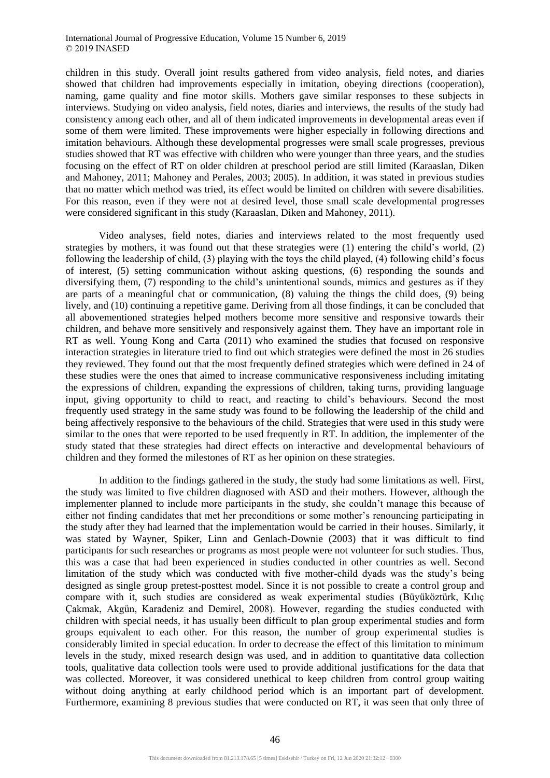children in this study. Overall joint results gathered from video analysis, field notes, and diaries showed that children had improvements especially in imitation, obeying directions (cooperation), naming, game quality and fine motor skills. Mothers gave similar responses to these subjects in interviews. Studying on video analysis, field notes, diaries and interviews, the results of the study had consistency among each other, and all of them indicated improvements in developmental areas even if some of them were limited. These improvements were higher especially in following directions and imitation behaviours. Although these developmental progresses were small scale progresses, previous studies showed that RT was effective with children who were younger than three years, and the studies focusing on the effect of RT on older children at preschool period are still limited (Karaaslan, Diken and Mahoney, 2011; Mahoney and Perales, 2003; 2005). In addition, it was stated in previous studies that no matter which method was tried, its effect would be limited on children with severe disabilities. For this reason, even if they were not at desired level, those small scale developmental progresses were considered significant in this study (Karaaslan, Diken and Mahoney, 2011).

Video analyses, field notes, diaries and interviews related to the most frequently used strategies by mothers, it was found out that these strategies were (1) entering the child's world, (2) following the leadership of child, (3) playing with the toys the child played, (4) following child's focus of interest, (5) setting communication without asking questions, (6) responding the sounds and diversifying them, (7) responding to the child's unintentional sounds, mimics and gestures as if they are parts of a meaningful chat or communication, (8) valuing the things the child does, (9) being lively, and (10) continuing a repetitive game. Deriving from all those findings, it can be concluded that all abovementioned strategies helped mothers become more sensitive and responsive towards their children, and behave more sensitively and responsively against them. They have an important role in RT as well. Young Kong and Carta (2011) who examined the studies that focused on responsive interaction strategies in literature tried to find out which strategies were defined the most in 26 studies they reviewed. They found out that the most frequently defined strategies which were defined in 24 of these studies were the ones that aimed to increase communicative responsiveness including imitating the expressions of children, expanding the expressions of children, taking turns, providing language input, giving opportunity to child to react, and reacting to child's behaviours. Second the most frequently used strategy in the same study was found to be following the leadership of the child and being affectively responsive to the behaviours of the child. Strategies that were used in this study were similar to the ones that were reported to be used frequently in RT. In addition, the implementer of the study stated that these strategies had direct effects on interactive and developmental behaviours of children and they formed the milestones of RT as her opinion on these strategies.

In addition to the findings gathered in the study, the study had some limitations as well. First, the study was limited to five children diagnosed with ASD and their mothers. However, although the implementer planned to include more participants in the study, she couldn't manage this because of either not finding candidates that met her preconditions or some mother's renouncing participating in the study after they had learned that the implementation would be carried in their houses. Similarly, it was stated by Wayner, Spiker, Linn and Genlach-Downie (2003) that it was difficult to find participants for such researches or programs as most people were not volunteer for such studies. Thus, this was a case that had been experienced in studies conducted in other countries as well. Second limitation of the study which was conducted with five mother-child dyads was the study's being designed as single group pretest-posttest model. Since it is not possible to create a control group and compare with it, such studies are considered as weak experimental studies (Büyüköztürk, Kılıç Çakmak, Akgün, Karadeniz and Demirel, 2008). However, regarding the studies conducted with children with special needs, it has usually been difficult to plan group experimental studies and form groups equivalent to each other. For this reason, the number of group experimental studies is considerably limited in special education. In order to decrease the effect of this limitation to minimum levels in the study, mixed research design was used, and in addition to quantitative data collection tools, qualitative data collection tools were used to provide additional justifications for the data that was collected. Moreover, it was considered unethical to keep children from control group waiting without doing anything at early childhood period which is an important part of development. Furthermore, examining 8 previous studies that were conducted on RT, it was seen that only three of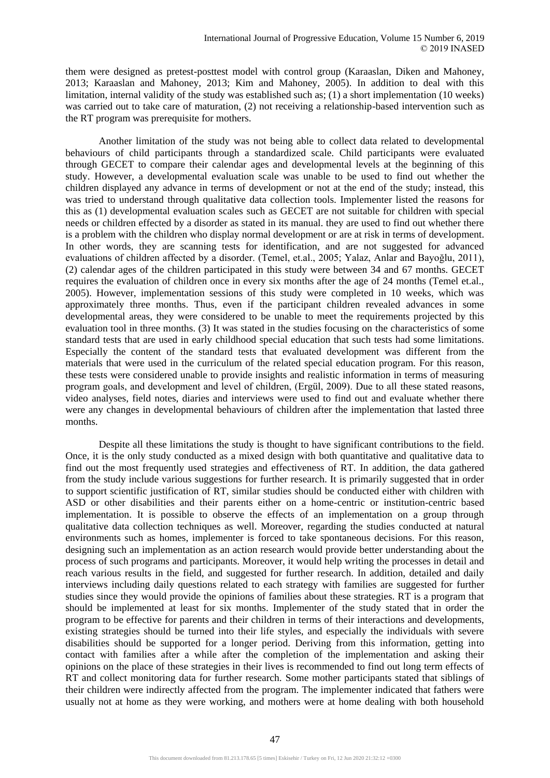them were designed as pretest-posttest model with control group (Karaaslan, Diken and Mahoney, 2013; Karaaslan and Mahoney, 2013; Kim and Mahoney, 2005). In addition to deal with this limitation, internal validity of the study was established such as; (1) a short implementation (10 weeks) was carried out to take care of maturation, (2) not receiving a relationship-based intervention such as the RT program was prerequisite for mothers.

Another limitation of the study was not being able to collect data related to developmental behaviours of child participants through a standardized scale. Child participants were evaluated through GECET to compare their calendar ages and developmental levels at the beginning of this study. However, a developmental evaluation scale was unable to be used to find out whether the children displayed any advance in terms of development or not at the end of the study; instead, this was tried to understand through qualitative data collection tools. Implementer listed the reasons for this as (1) developmental evaluation scales such as GECET are not suitable for children with special needs or children effected by a disorder as stated in its manual. they are used to find out whether there is a problem with the children who display normal development or are at risk in terms of development. In other words, they are scanning tests for identification, and are not suggested for advanced evaluations of children affected by a disorder. (Temel, et.al., 2005; Yalaz, Anlar and Bayoğlu, 2011), (2) calendar ages of the children participated in this study were between 34 and 67 months. GECET requires the evaluation of children once in every six months after the age of 24 months (Temel et.al., 2005). However, implementation sessions of this study were completed in 10 weeks, which was approximately three months. Thus, even if the participant children revealed advances in some developmental areas, they were considered to be unable to meet the requirements projected by this evaluation tool in three months. (3) It was stated in the studies focusing on the characteristics of some standard tests that are used in early childhood special education that such tests had some limitations. Especially the content of the standard tests that evaluated development was different from the materials that were used in the curriculum of the related special education program. For this reason, these tests were considered unable to provide insights and realistic information in terms of measuring program goals, and development and level of children, (Ergül, 2009). Due to all these stated reasons, video analyses, field notes, diaries and interviews were used to find out and evaluate whether there were any changes in developmental behaviours of children after the implementation that lasted three months.

Despite all these limitations the study is thought to have significant contributions to the field. Once, it is the only study conducted as a mixed design with both quantitative and qualitative data to find out the most frequently used strategies and effectiveness of RT. In addition, the data gathered from the study include various suggestions for further research. It is primarily suggested that in order to support scientific justification of RT, similar studies should be conducted either with children with ASD or other disabilities and their parents either on a home-centric or institution-centric based implementation. It is possible to observe the effects of an implementation on a group through qualitative data collection techniques as well. Moreover, regarding the studies conducted at natural environments such as homes, implementer is forced to take spontaneous decisions. For this reason, designing such an implementation as an action research would provide better understanding about the process of such programs and participants. Moreover, it would help writing the processes in detail and reach various results in the field, and suggested for further research. In addition, detailed and daily interviews including daily questions related to each strategy with families are suggested for further studies since they would provide the opinions of families about these strategies. RT is a program that should be implemented at least for six months. Implementer of the study stated that in order the program to be effective for parents and their children in terms of their interactions and developments, existing strategies should be turned into their life styles, and especially the individuals with severe disabilities should be supported for a longer period. Deriving from this information, getting into contact with families after a while after the completion of the implementation and asking their opinions on the place of these strategies in their lives is recommended to find out long term effects of RT and collect monitoring data for further research. Some mother participants stated that siblings of their children were indirectly affected from the program. The implementer indicated that fathers were usually not at home as they were working, and mothers were at home dealing with both household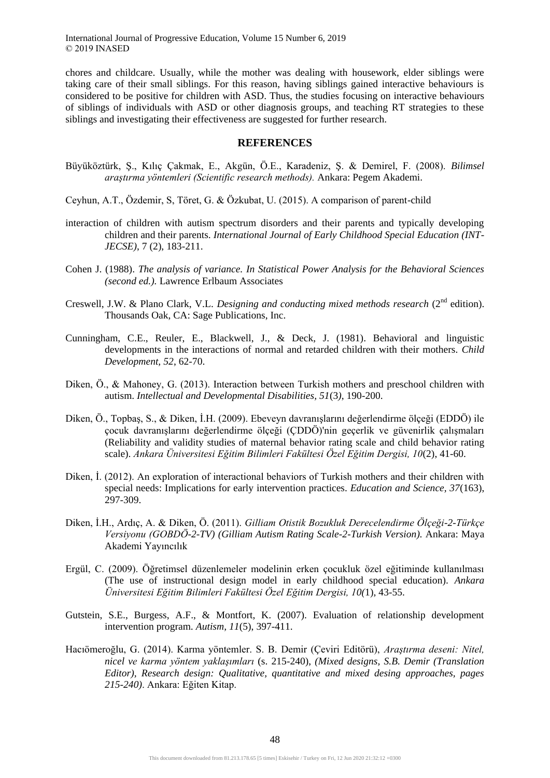chores and childcare. Usually, while the mother was dealing with housework, elder siblings were taking care of their small siblings. For this reason, having siblings gained interactive behaviours is considered to be positive for children with ASD. Thus, the studies focusing on interactive behaviours of siblings of individuals with ASD or other diagnosis groups, and teaching RT strategies to these siblings and investigating their effectiveness are suggested for further research.

#### **REFERENCES**

- Büyüköztürk, Ş., Kılıç Çakmak, E., Akgün, Ö.E., Karadeniz, Ş. & Demirel, F. (2008). *Bilimsel araştırma yöntemleri (Scientific research methods).* Ankara: Pegem Akademi.
- Ceyhun, A.T., Özdemir, S, Töret, G. & Özkubat, U. (2015). A comparison of parent-child
- interaction of children with autism spectrum disorders and their parents and typically developing children and their parents. *International Journal of Early Childhood Special Education (INT-JECSE)*, 7 (2), 183-211.
- Cohen J. (1988). *The analysis of variance. In Statistical Power Analysis for the Behavioral Sciences (second ed.).* Lawrence Erlbaum Associates
- Creswell, J.W. & Plano Clark, V.L. *Designing and conducting mixed methods research* (2<sup>nd</sup> edition). Thousands Oak, CA: Sage Publications, Inc.
- Cunningham, C.E., Reuler, E., Blackwell, J., & Deck, J. (1981). Behavioral and linguistic developments in the interactions of normal and retarded children with their mothers. *Child Development, 52*, 62-70.
- Diken, Ö., & Mahoney, G. (2013). Interaction between Turkish mothers and preschool children with autism. *Intellectual and Developmental Disabilities, 51*(3*)*, 190-200.
- Diken, Ö., Topbaş, S., & Diken, İ.H. (2009). Ebeveyn davranışlarını değerlendirme ölçeği (EDDÖ) ile çocuk davranışlarını değerlendirme ölçeği (ÇDDÖ)'nin geçerlik ve güvenirlik çalışmaları (Reliability and validity studies of maternal behavior rating scale and child behavior rating scale). *Ankara Üniversitesi Eğitim Bilimleri Fakültesi Özel Eğitim Dergisi, 10*(2), 41-60.
- Diken, İ. (2012). An exploration of interactional behaviors of Turkish mothers and their children with special needs: Implications for early intervention practices. *Education and Science, 37*(163), 297-309.
- Diken, İ.H., Ardıç, A. & Diken, Ö. (2011). *Gilliam Otistik Bozukluk Derecelendirme Ölçeği-2-Türkçe Versiyonu (GOBDÖ-2-TV) (Gilliam Autism Rating Scale-2-Turkish Version).* Ankara: Maya Akademi Yayıncılık
- Ergül, C. (2009). Öğretimsel düzenlemeler modelinin erken çocukluk özel eğitiminde kullanılması (The use of instructional design model in early childhood special education). *Ankara Üniversitesi Eğitim Bilimleri Fakültesi Özel Eğitim Dergisi, 10(*1)*,* 43-55.
- Gutstein, S.E., Burgess, A.F., & Montfort, K. (2007). Evaluation of relationship development intervention program. *Autism, 11*(5), 397-411.
- Hacıömeroğlu, G. (2014). Karma yöntemler. S. B. Demir (Çeviri Editörü), *Araştırma deseni: Nitel, nicel ve karma yöntem yaklaşımları* (s. 215-240), *(Mixed designs, S.B. Demir (Translation Editor), Research design: Qualitative, quantitative and mixed desing approaches, pages 215-240)*. Ankara: Eğiten Kitap.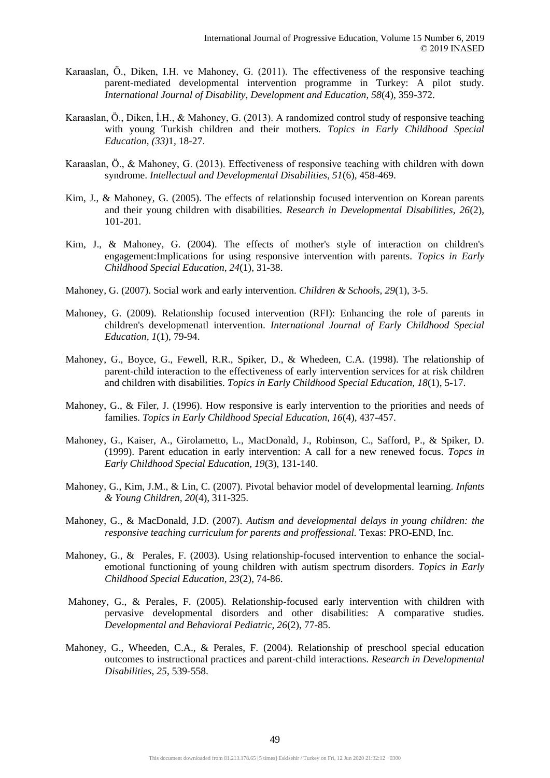- Karaaslan, Ö., Diken, I.H. ve Mahoney, G. (2011). The effectiveness of the responsive teaching parent-mediated developmental intervention programme in Turkey: A pilot study. *International Journal of Disability, Development and Education, 58*(4), 359-372.
- Karaaslan, Ö., Diken, İ.H., & Mahoney, G. (2013). A randomized control study of responsive teaching with young Turkish children and their mothers. *Topics in Early Childhood Special Education, (33)*1*,* 18-27.
- Karaaslan, Ö., & Mahoney, G. (2013). Effectiveness of responsive teaching with children with down syndrome. *Intellectual and Developmental Disabilities, 51*(6), 458-469.
- Kim, J., & Mahoney, G. (2005). The effects of relationship focused intervention on Korean parents and their young children with disabilities. *Research in Developmental Disabilities, 26*(2), 101-201.
- Kim, J., & Mahoney, G. (2004). The effects of mother's style of interaction on children's engagement:Implications for using responsive intervention with parents. *Topics in Early Childhood Special Education, 24*(1), 31-38.
- Mahoney, G. (2007). Social work and early intervention. *Children & Schools, 29*(1), 3-5.
- Mahoney, G. (2009). Relationship focused intervention (RFI): Enhancing the role of parents in children's developmenatl intervention. *International Journal of Early Childhood Special Education, 1*(1), 79-94.
- Mahoney, G., Boyce, G., Fewell, R.R., Spiker, D., & Whedeen, C.A. (1998). The relationship of parent-child interaction to the effectiveness of early intervention services for at risk children and children with disabilities. *Topics in Early Childhood Special Education, 18*(1), 5-17.
- Mahoney, G., & Filer, J. (1996). How responsive is early intervention to the priorities and needs of families. *Topics in Early Childhood Special Education, 16*(4), 437-457.
- Mahoney, G., Kaiser, A., Girolametto, L., MacDonald, J., Robinson, C., Safford, P., & Spiker, D. (1999). Parent education in early intervention: A call for a new renewed focus. *Topcs in Early Childhood Special Education, 19*(3), 131-140.
- Mahoney, G., Kim, J.M., & Lin, C. (2007). Pivotal behavior model of developmental learning. *Infants & Young Children, 20*(4), 311-325.
- Mahoney, G., & MacDonald, J.D. (2007). *Autism and developmental delays in young children: the responsive teaching curriculum for parents and proffessional.* Texas: PRO-END, Inc.
- Mahoney, G., & Perales, F. (2003). Using relationship-focused intervention to enhance the socialemotional functioning of young children with autism spectrum disorders. *Topics in Early Childhood Special Education, 23*(2), 74-86.
- Mahoney, G., & Perales, F. (2005). Relationship-focused early intervention with children with pervasive developmental disorders and other disabilities: A comparative studies. *Developmental and Behavioral Pediatric, 26*(2), 77-85.
- Mahoney, G., Wheeden, C.A., & Perales, F. (2004). Relationship of preschool special education outcomes to instructional practices and parent-child interactions. *Research in Developmental Disabilities, 25*, 539-558.